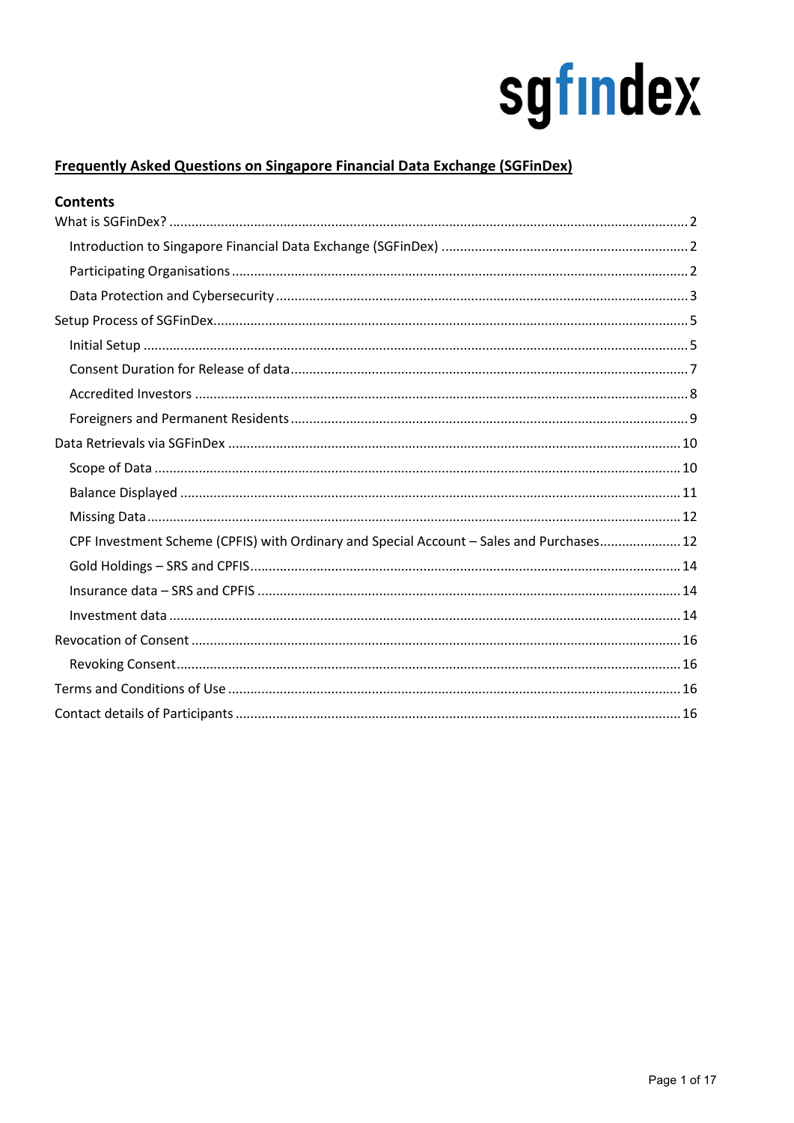### **Frequently Asked Questions on Singapore Financial Data Exchange (SGFinDex)**

| <b>Contents</b>                                                                          |
|------------------------------------------------------------------------------------------|
|                                                                                          |
|                                                                                          |
|                                                                                          |
|                                                                                          |
|                                                                                          |
|                                                                                          |
|                                                                                          |
|                                                                                          |
|                                                                                          |
|                                                                                          |
|                                                                                          |
|                                                                                          |
|                                                                                          |
| CPF Investment Scheme (CPFIS) with Ordinary and Special Account - Sales and Purchases 12 |
|                                                                                          |
|                                                                                          |
|                                                                                          |
|                                                                                          |
|                                                                                          |
|                                                                                          |
|                                                                                          |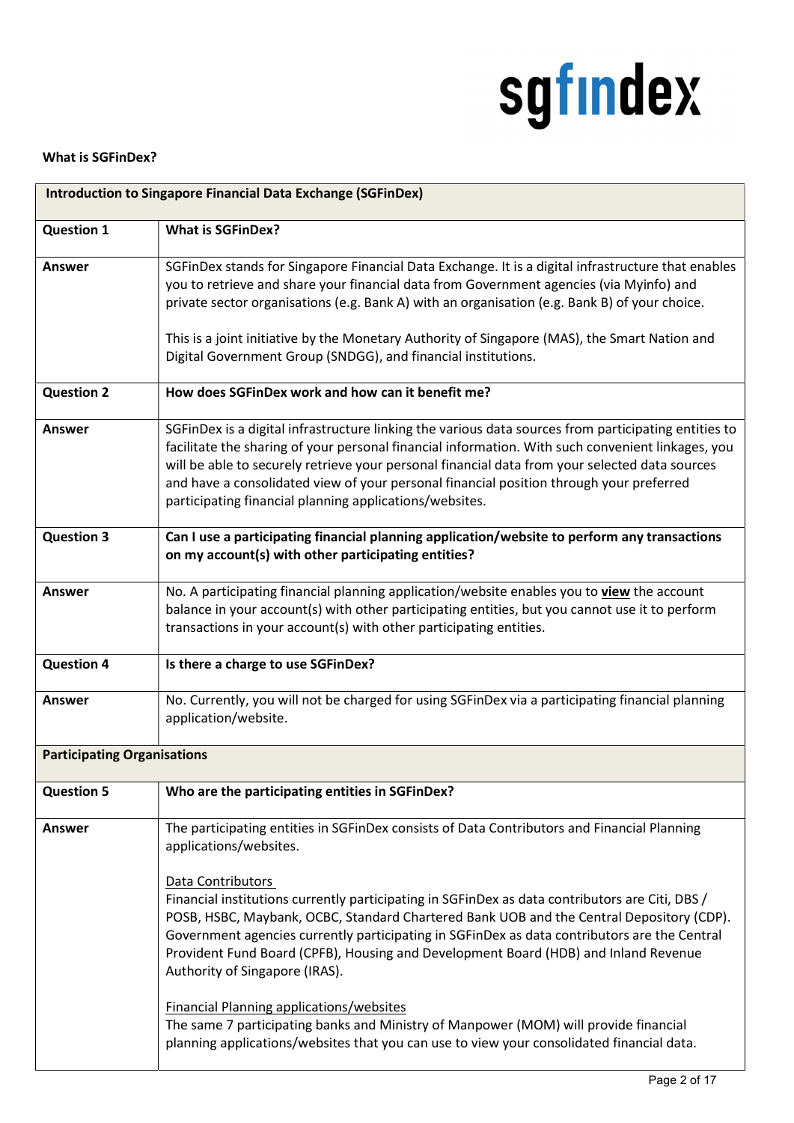### What is SGFinDex?

| <b>Introduction to Singapore Financial Data Exchange (SGFinDex)</b> |                                                                                                                                                                                                                                                                                                                                                                                                                                                                   |
|---------------------------------------------------------------------|-------------------------------------------------------------------------------------------------------------------------------------------------------------------------------------------------------------------------------------------------------------------------------------------------------------------------------------------------------------------------------------------------------------------------------------------------------------------|
| <b>Question 1</b>                                                   | <b>What is SGFinDex?</b>                                                                                                                                                                                                                                                                                                                                                                                                                                          |
| <b>Answer</b>                                                       | SGFinDex stands for Singapore Financial Data Exchange. It is a digital infrastructure that enables<br>you to retrieve and share your financial data from Government agencies (via Myinfo) and<br>private sector organisations (e.g. Bank A) with an organisation (e.g. Bank B) of your choice.<br>This is a joint initiative by the Monetary Authority of Singapore (MAS), the Smart Nation and<br>Digital Government Group (SNDGG), and financial institutions.  |
| <b>Question 2</b>                                                   | How does SGFinDex work and how can it benefit me?                                                                                                                                                                                                                                                                                                                                                                                                                 |
| Answer                                                              | SGFinDex is a digital infrastructure linking the various data sources from participating entities to<br>facilitate the sharing of your personal financial information. With such convenient linkages, you<br>will be able to securely retrieve your personal financial data from your selected data sources<br>and have a consolidated view of your personal financial position through your preferred<br>participating financial planning applications/websites. |
| <b>Question 3</b>                                                   | Can I use a participating financial planning application/website to perform any transactions<br>on my account(s) with other participating entities?                                                                                                                                                                                                                                                                                                               |
| Answer                                                              | No. A participating financial planning application/website enables you to view the account<br>balance in your account(s) with other participating entities, but you cannot use it to perform<br>transactions in your account(s) with other participating entities.                                                                                                                                                                                                |
| <b>Question 4</b>                                                   | Is there a charge to use SGFinDex?                                                                                                                                                                                                                                                                                                                                                                                                                                |
| Answer                                                              | No. Currently, you will not be charged for using SGFinDex via a participating financial planning<br>application/website.                                                                                                                                                                                                                                                                                                                                          |
| <b>Participating Organisations</b>                                  |                                                                                                                                                                                                                                                                                                                                                                                                                                                                   |
| <b>Question 5</b>                                                   | Who are the participating entities in SGFinDex?                                                                                                                                                                                                                                                                                                                                                                                                                   |
| <b>Answer</b>                                                       | The participating entities in SGFinDex consists of Data Contributors and Financial Planning<br>applications/websites.<br>Data Contributors                                                                                                                                                                                                                                                                                                                        |
|                                                                     | Financial institutions currently participating in SGFinDex as data contributors are Citi, DBS /<br>POSB, HSBC, Maybank, OCBC, Standard Chartered Bank UOB and the Central Depository (CDP).<br>Government agencies currently participating in SGFinDex as data contributors are the Central<br>Provident Fund Board (CPFB), Housing and Development Board (HDB) and Inland Revenue<br>Authority of Singapore (IRAS).                                              |
|                                                                     | <b>Financial Planning applications/websites</b><br>The same 7 participating banks and Ministry of Manpower (MOM) will provide financial<br>planning applications/websites that you can use to view your consolidated financial data.                                                                                                                                                                                                                              |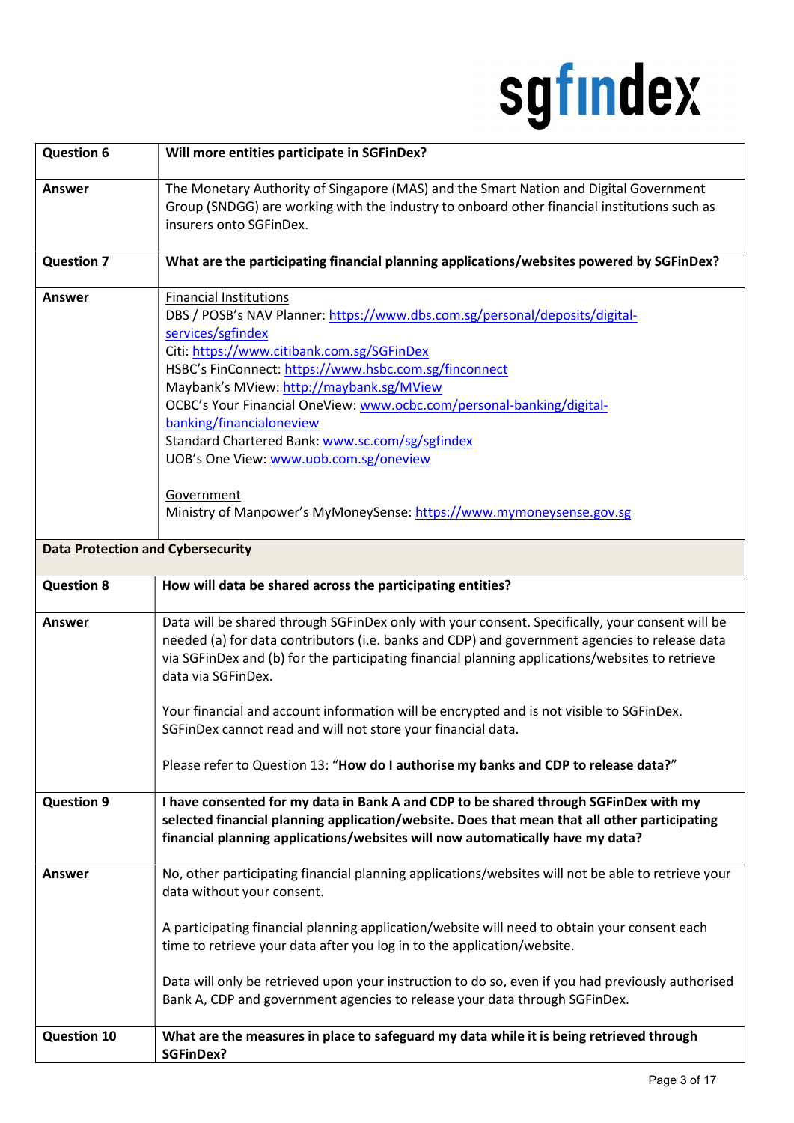| <b>Question 6</b>                        | Will more entities participate in SGFinDex?                                                                                                                                                                                                                                                                                                                                                                                                                                                                                                                                  |
|------------------------------------------|------------------------------------------------------------------------------------------------------------------------------------------------------------------------------------------------------------------------------------------------------------------------------------------------------------------------------------------------------------------------------------------------------------------------------------------------------------------------------------------------------------------------------------------------------------------------------|
| <b>Answer</b>                            | The Monetary Authority of Singapore (MAS) and the Smart Nation and Digital Government<br>Group (SNDGG) are working with the industry to onboard other financial institutions such as<br>insurers onto SGFinDex.                                                                                                                                                                                                                                                                                                                                                              |
| <b>Question 7</b>                        | What are the participating financial planning applications/websites powered by SGFinDex?                                                                                                                                                                                                                                                                                                                                                                                                                                                                                     |
| <b>Answer</b>                            | <b>Financial Institutions</b><br>DBS / POSB's NAV Planner: https://www.dbs.com.sg/personal/deposits/digital-<br>services/sgfindex<br>Citi: https://www.citibank.com.sg/SGFinDex<br>HSBC's FinConnect: https://www.hsbc.com.sg/finconnect<br>Maybank's MView: http://maybank.sg/MView<br>OCBC's Your Financial OneView: www.ocbc.com/personal-banking/digital-<br>banking/financialoneview<br>Standard Chartered Bank: www.sc.com/sg/sgfindex<br>UOB's One View: www.uob.com.sg/oneview<br>Government<br>Ministry of Manpower's MyMoneySense: https://www.mymoneysense.gov.sg |
| <b>Data Protection and Cybersecurity</b> |                                                                                                                                                                                                                                                                                                                                                                                                                                                                                                                                                                              |
| <b>Question 8</b>                        | How will data be shared across the participating entities?                                                                                                                                                                                                                                                                                                                                                                                                                                                                                                                   |
| <b>Answer</b>                            | Data will be shared through SGFinDex only with your consent. Specifically, your consent will be<br>needed (a) for data contributors (i.e. banks and CDP) and government agencies to release data<br>via SGFinDex and (b) for the participating financial planning applications/websites to retrieve<br>data via SGFinDex.<br>Your financial and account information will be encrypted and is not visible to SGFinDex.<br>SGFinDex cannot read and will not store your financial data.                                                                                        |
|                                          | Please refer to Question 13: "How do I authorise my banks and CDP to release data?"                                                                                                                                                                                                                                                                                                                                                                                                                                                                                          |
| <b>Question 9</b>                        | I have consented for my data in Bank A and CDP to be shared through SGFinDex with my<br>selected financial planning application/website. Does that mean that all other participating<br>financial planning applications/websites will now automatically have my data?                                                                                                                                                                                                                                                                                                        |
| <b>Answer</b>                            | No, other participating financial planning applications/websites will not be able to retrieve your<br>data without your consent.                                                                                                                                                                                                                                                                                                                                                                                                                                             |
|                                          | A participating financial planning application/website will need to obtain your consent each<br>time to retrieve your data after you log in to the application/website.                                                                                                                                                                                                                                                                                                                                                                                                      |
|                                          | Data will only be retrieved upon your instruction to do so, even if you had previously authorised<br>Bank A, CDP and government agencies to release your data through SGFinDex.                                                                                                                                                                                                                                                                                                                                                                                              |
| <b>Question 10</b>                       | What are the measures in place to safeguard my data while it is being retrieved through<br><b>SGFinDex?</b>                                                                                                                                                                                                                                                                                                                                                                                                                                                                  |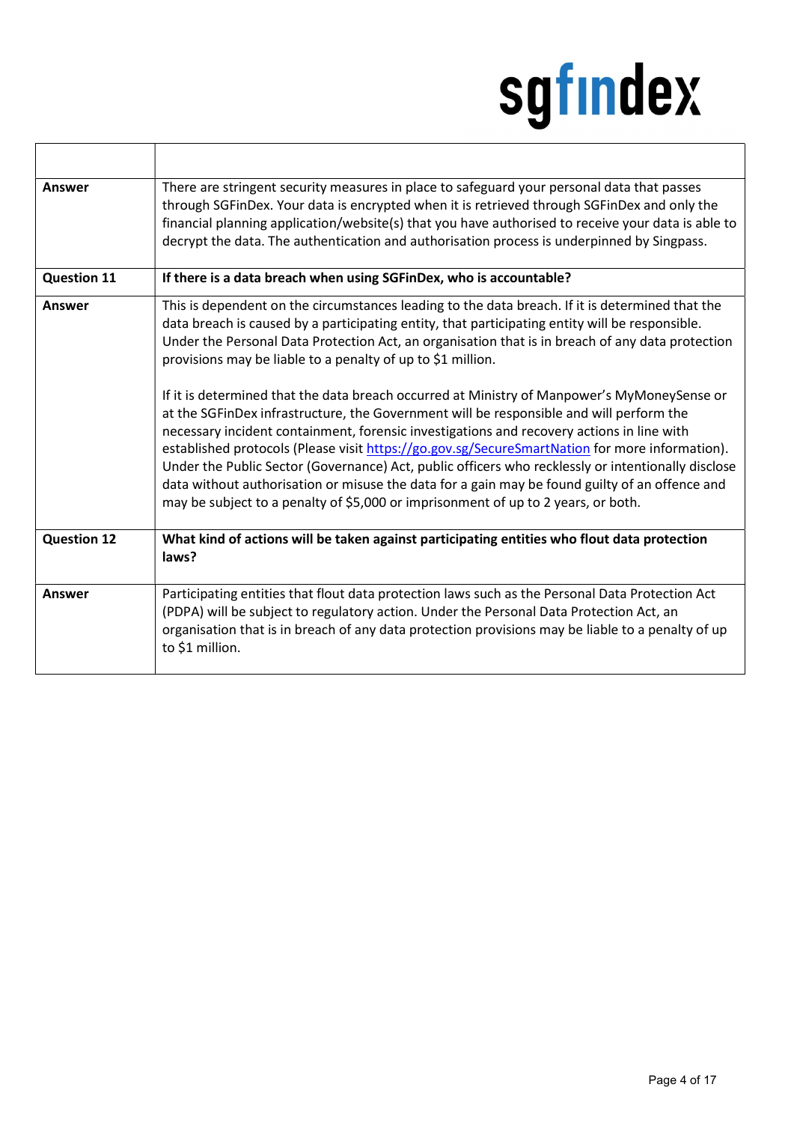٦

| Answer             | There are stringent security measures in place to safeguard your personal data that passes<br>through SGFinDex. Your data is encrypted when it is retrieved through SGFinDex and only the<br>financial planning application/website(s) that you have authorised to receive your data is able to<br>decrypt the data. The authentication and authorisation process is underpinned by Singpass.                                                                                                                                                                                                                                                                                                                                                                                                                                                                                                                                                                                                                                                               |
|--------------------|-------------------------------------------------------------------------------------------------------------------------------------------------------------------------------------------------------------------------------------------------------------------------------------------------------------------------------------------------------------------------------------------------------------------------------------------------------------------------------------------------------------------------------------------------------------------------------------------------------------------------------------------------------------------------------------------------------------------------------------------------------------------------------------------------------------------------------------------------------------------------------------------------------------------------------------------------------------------------------------------------------------------------------------------------------------|
| <b>Question 11</b> | If there is a data breach when using SGFinDex, who is accountable?                                                                                                                                                                                                                                                                                                                                                                                                                                                                                                                                                                                                                                                                                                                                                                                                                                                                                                                                                                                          |
| Answer             | This is dependent on the circumstances leading to the data breach. If it is determined that the<br>data breach is caused by a participating entity, that participating entity will be responsible.<br>Under the Personal Data Protection Act, an organisation that is in breach of any data protection<br>provisions may be liable to a penalty of up to \$1 million.<br>If it is determined that the data breach occurred at Ministry of Manpower's MyMoneySense or<br>at the SGFinDex infrastructure, the Government will be responsible and will perform the<br>necessary incident containment, forensic investigations and recovery actions in line with<br>established protocols (Please visit https://go.gov.sg/SecureSmartNation for more information).<br>Under the Public Sector (Governance) Act, public officers who recklessly or intentionally disclose<br>data without authorisation or misuse the data for a gain may be found guilty of an offence and<br>may be subject to a penalty of \$5,000 or imprisonment of up to 2 years, or both. |
| <b>Question 12</b> | What kind of actions will be taken against participating entities who flout data protection<br>laws?                                                                                                                                                                                                                                                                                                                                                                                                                                                                                                                                                                                                                                                                                                                                                                                                                                                                                                                                                        |
| Answer             | Participating entities that flout data protection laws such as the Personal Data Protection Act<br>(PDPA) will be subject to regulatory action. Under the Personal Data Protection Act, an<br>organisation that is in breach of any data protection provisions may be liable to a penalty of up<br>to \$1 million.                                                                                                                                                                                                                                                                                                                                                                                                                                                                                                                                                                                                                                                                                                                                          |

ľ

۱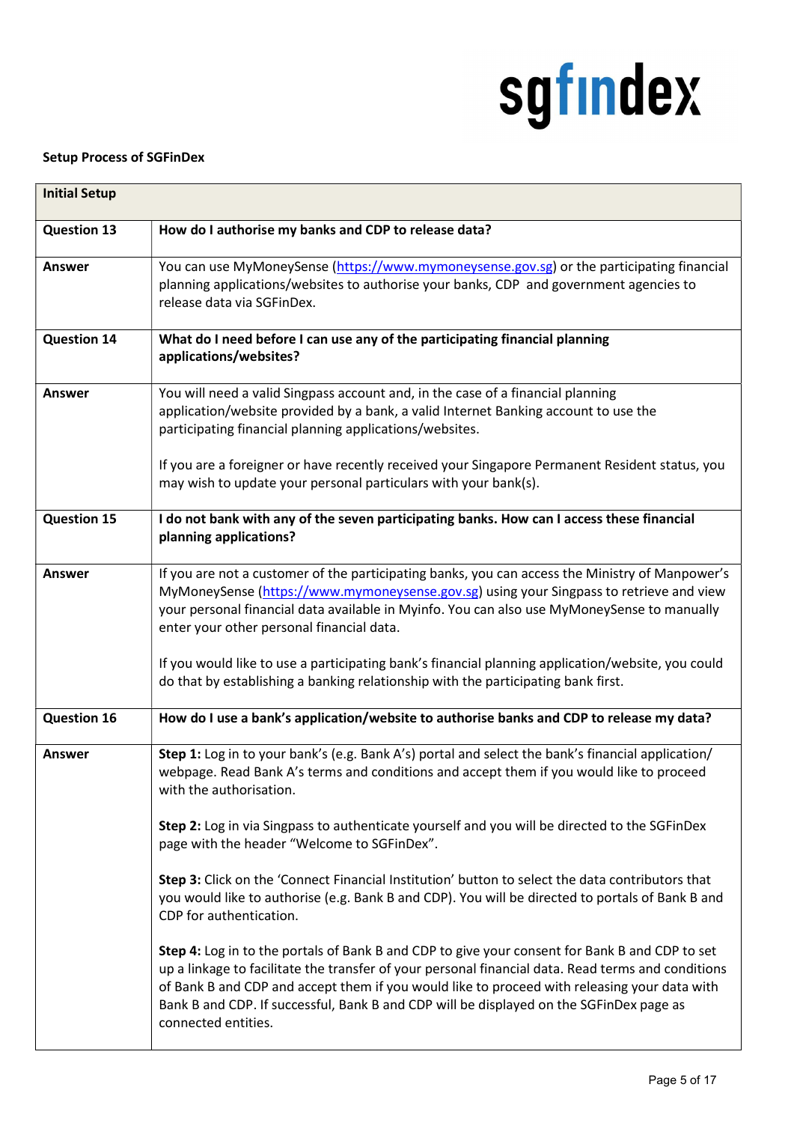#### Setup Process of SGFinDex

| <b>Initial Setup</b> |                                                                                                                                                                                                                                                                                                                                                                                                                        |  |
|----------------------|------------------------------------------------------------------------------------------------------------------------------------------------------------------------------------------------------------------------------------------------------------------------------------------------------------------------------------------------------------------------------------------------------------------------|--|
| <b>Question 13</b>   | How do I authorise my banks and CDP to release data?                                                                                                                                                                                                                                                                                                                                                                   |  |
| <b>Answer</b>        | You can use MyMoneySense (https://www.mymoneysense.gov.sg) or the participating financial<br>planning applications/websites to authorise your banks, CDP and government agencies to<br>release data via SGFinDex.                                                                                                                                                                                                      |  |
| <b>Question 14</b>   | What do I need before I can use any of the participating financial planning<br>applications/websites?                                                                                                                                                                                                                                                                                                                  |  |
| Answer               | You will need a valid Singpass account and, in the case of a financial planning<br>application/website provided by a bank, a valid Internet Banking account to use the<br>participating financial planning applications/websites.<br>If you are a foreigner or have recently received your Singapore Permanent Resident status, you                                                                                    |  |
| <b>Question 15</b>   | may wish to update your personal particulars with your bank(s).<br>I do not bank with any of the seven participating banks. How can I access these financial                                                                                                                                                                                                                                                           |  |
|                      | planning applications?                                                                                                                                                                                                                                                                                                                                                                                                 |  |
| <b>Answer</b>        | If you are not a customer of the participating banks, you can access the Ministry of Manpower's<br>MyMoneySense (https://www.mymoneysense.gov.sg) using your Singpass to retrieve and view<br>your personal financial data available in Myinfo. You can also use MyMoneySense to manually<br>enter your other personal financial data.                                                                                 |  |
|                      | If you would like to use a participating bank's financial planning application/website, you could<br>do that by establishing a banking relationship with the participating bank first.                                                                                                                                                                                                                                 |  |
| <b>Question 16</b>   | How do I use a bank's application/website to authorise banks and CDP to release my data?                                                                                                                                                                                                                                                                                                                               |  |
| <b>Answer</b>        | Step 1: Log in to your bank's (e.g. Bank A's) portal and select the bank's financial application/<br>webpage. Read Bank A's terms and conditions and accept them if you would like to proceed<br>with the authorisation.                                                                                                                                                                                               |  |
|                      | Step 2: Log in via Singpass to authenticate yourself and you will be directed to the SGFinDex<br>page with the header "Welcome to SGFinDex".                                                                                                                                                                                                                                                                           |  |
|                      | Step 3: Click on the 'Connect Financial Institution' button to select the data contributors that<br>you would like to authorise (e.g. Bank B and CDP). You will be directed to portals of Bank B and<br>CDP for authentication.                                                                                                                                                                                        |  |
|                      | Step 4: Log in to the portals of Bank B and CDP to give your consent for Bank B and CDP to set<br>up a linkage to facilitate the transfer of your personal financial data. Read terms and conditions<br>of Bank B and CDP and accept them if you would like to proceed with releasing your data with<br>Bank B and CDP. If successful, Bank B and CDP will be displayed on the SGFinDex page as<br>connected entities. |  |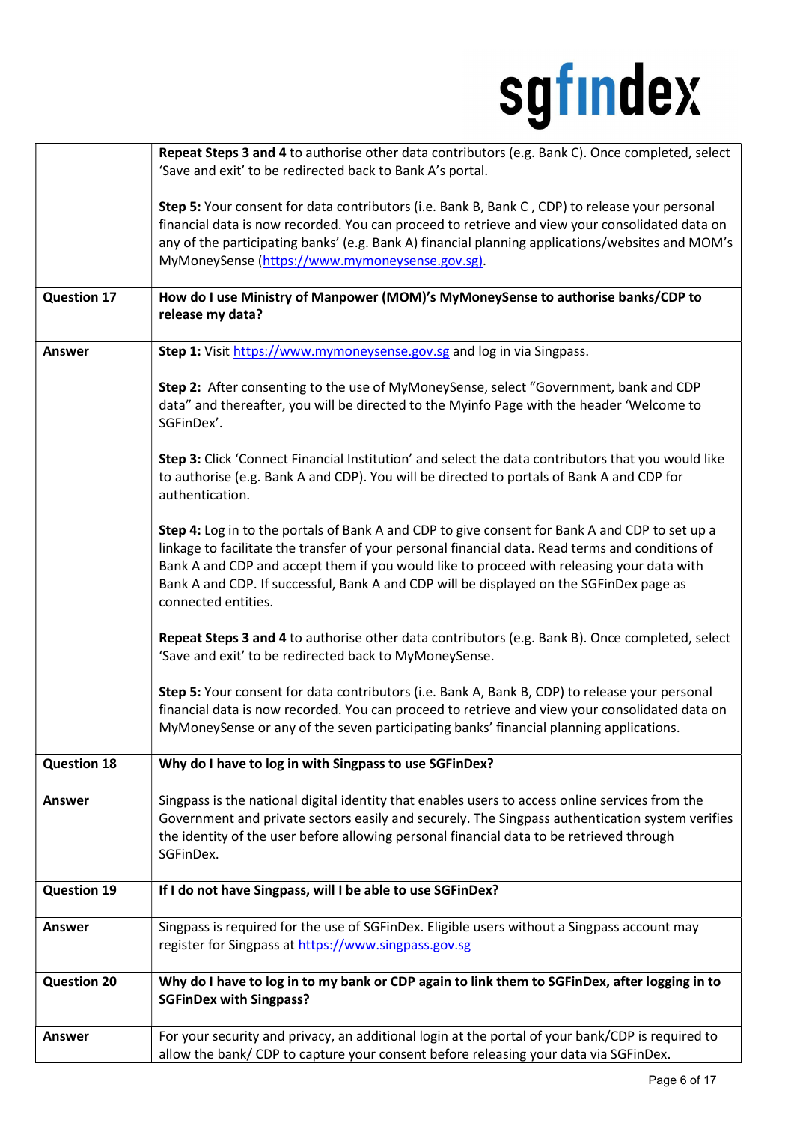|                    | Repeat Steps 3 and 4 to authorise other data contributors (e.g. Bank C). Once completed, select<br>'Save and exit' to be redirected back to Bank A's portal.                                                                                                                                                                                                                                                      |
|--------------------|-------------------------------------------------------------------------------------------------------------------------------------------------------------------------------------------------------------------------------------------------------------------------------------------------------------------------------------------------------------------------------------------------------------------|
|                    | Step 5: Your consent for data contributors (i.e. Bank B, Bank C, CDP) to release your personal<br>financial data is now recorded. You can proceed to retrieve and view your consolidated data on<br>any of the participating banks' (e.g. Bank A) financial planning applications/websites and MOM's<br>MyMoneySense (https://www.mymoneysense.gov.sg).                                                           |
| <b>Question 17</b> | How do I use Ministry of Manpower (MOM)'s MyMoneySense to authorise banks/CDP to<br>release my data?                                                                                                                                                                                                                                                                                                              |
| <b>Answer</b>      | Step 1: Visit https://www.mymoneysense.gov.sg and log in via Singpass.                                                                                                                                                                                                                                                                                                                                            |
|                    | Step 2: After consenting to the use of MyMoneySense, select "Government, bank and CDP<br>data" and thereafter, you will be directed to the Myinfo Page with the header 'Welcome to<br>SGFinDex'.                                                                                                                                                                                                                  |
|                    | Step 3: Click 'Connect Financial Institution' and select the data contributors that you would like<br>to authorise (e.g. Bank A and CDP). You will be directed to portals of Bank A and CDP for<br>authentication.                                                                                                                                                                                                |
|                    | Step 4: Log in to the portals of Bank A and CDP to give consent for Bank A and CDP to set up a<br>linkage to facilitate the transfer of your personal financial data. Read terms and conditions of<br>Bank A and CDP and accept them if you would like to proceed with releasing your data with<br>Bank A and CDP. If successful, Bank A and CDP will be displayed on the SGFinDex page as<br>connected entities. |
|                    | Repeat Steps 3 and 4 to authorise other data contributors (e.g. Bank B). Once completed, select<br>'Save and exit' to be redirected back to MyMoneySense.                                                                                                                                                                                                                                                         |
|                    | Step 5: Your consent for data contributors (i.e. Bank A, Bank B, CDP) to release your personal<br>financial data is now recorded. You can proceed to retrieve and view your consolidated data on<br>MyMoneySense or any of the seven participating banks' financial planning applications.                                                                                                                        |
| <b>Question 18</b> | Why do I have to log in with Singpass to use SGFinDex?                                                                                                                                                                                                                                                                                                                                                            |
| <b>Answer</b>      | Singpass is the national digital identity that enables users to access online services from the<br>Government and private sectors easily and securely. The Singpass authentication system verifies<br>the identity of the user before allowing personal financial data to be retrieved through<br>SGFinDex.                                                                                                       |
| <b>Question 19</b> | If I do not have Singpass, will I be able to use SGFinDex?                                                                                                                                                                                                                                                                                                                                                        |
| <b>Answer</b>      | Singpass is required for the use of SGFinDex. Eligible users without a Singpass account may<br>register for Singpass at https://www.singpass.gov.sg                                                                                                                                                                                                                                                               |
| <b>Question 20</b> | Why do I have to log in to my bank or CDP again to link them to SGFinDex, after logging in to<br><b>SGFinDex with Singpass?</b>                                                                                                                                                                                                                                                                                   |
| <b>Answer</b>      | For your security and privacy, an additional login at the portal of your bank/CDP is required to<br>allow the bank/ CDP to capture your consent before releasing your data via SGFinDex.                                                                                                                                                                                                                          |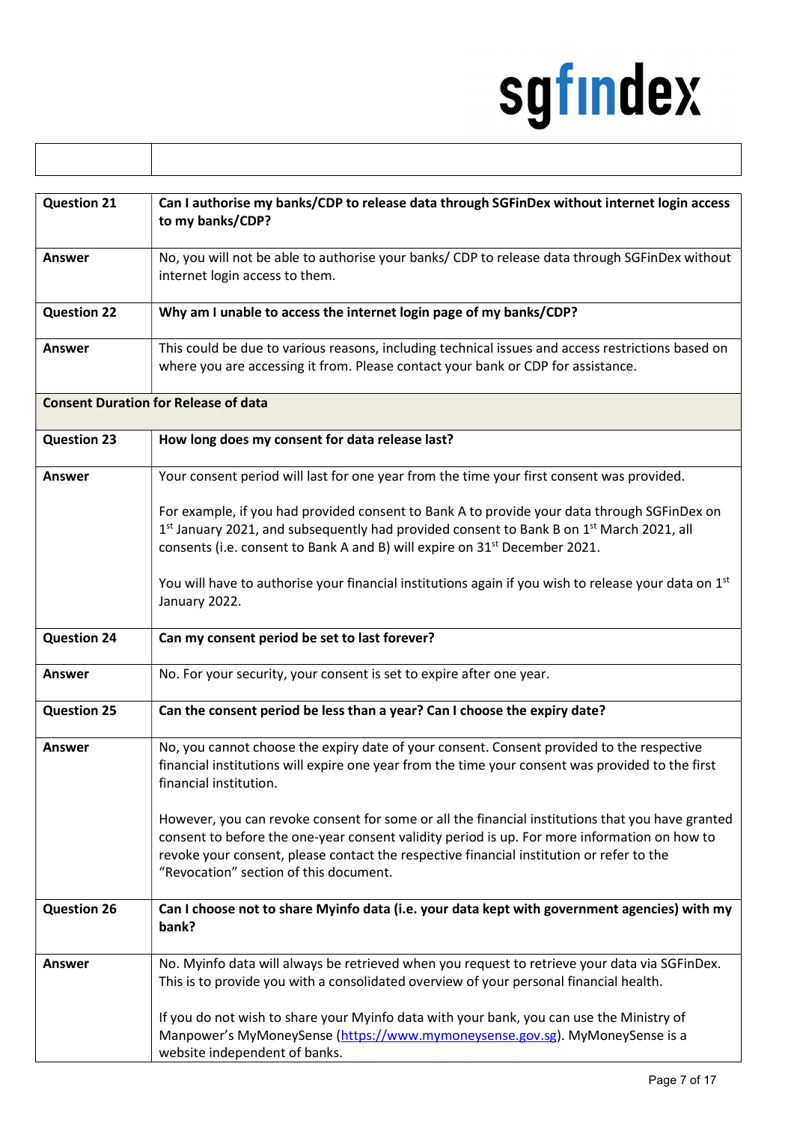| <b>Question 21</b> | Can I authorise my banks/CDP to release data through SGFinDex without internet login access<br>to my banks/CDP?                                                                                                                                                                                                                        |
|--------------------|----------------------------------------------------------------------------------------------------------------------------------------------------------------------------------------------------------------------------------------------------------------------------------------------------------------------------------------|
| Answer             | No, you will not be able to authorise your banks/ CDP to release data through SGFinDex without<br>internet login access to them.                                                                                                                                                                                                       |
| <b>Question 22</b> | Why am I unable to access the internet login page of my banks/CDP?                                                                                                                                                                                                                                                                     |
| <b>Answer</b>      | This could be due to various reasons, including technical issues and access restrictions based on<br>where you are accessing it from. Please contact your bank or CDP for assistance.                                                                                                                                                  |
|                    | <b>Consent Duration for Release of data</b>                                                                                                                                                                                                                                                                                            |
| <b>Question 23</b> | How long does my consent for data release last?                                                                                                                                                                                                                                                                                        |
| Answer             | Your consent period will last for one year from the time your first consent was provided.                                                                                                                                                                                                                                              |
|                    | For example, if you had provided consent to Bank A to provide your data through SGFinDex on<br>1st January 2021, and subsequently had provided consent to Bank B on 1st March 2021, all<br>consents (i.e. consent to Bank A and B) will expire on 31 <sup>st</sup> December 2021.                                                      |
|                    | You will have to authorise your financial institutions again if you wish to release your data on 1 <sup>st</sup><br>January 2022.                                                                                                                                                                                                      |
| <b>Question 24</b> | Can my consent period be set to last forever?                                                                                                                                                                                                                                                                                          |
| Answer             | No. For your security, your consent is set to expire after one year.                                                                                                                                                                                                                                                                   |
| <b>Question 25</b> | Can the consent period be less than a year? Can I choose the expiry date?                                                                                                                                                                                                                                                              |
| <b>Answer</b>      | No, you cannot choose the expiry date of your consent. Consent provided to the respective<br>financial institutions will expire one year from the time your consent was provided to the first<br>financial institution.                                                                                                                |
|                    | However, you can revoke consent for some or all the financial institutions that you have granted<br>consent to before the one-year consent validity period is up. For more information on how to<br>revoke your consent, please contact the respective financial institution or refer to the<br>"Revocation" section of this document. |
| <b>Question 26</b> | Can I choose not to share Myinfo data (i.e. your data kept with government agencies) with my<br>bank?                                                                                                                                                                                                                                  |
| <b>Answer</b>      | No. Myinfo data will always be retrieved when you request to retrieve your data via SGFinDex.<br>This is to provide you with a consolidated overview of your personal financial health.                                                                                                                                                |
|                    | If you do not wish to share your Myinfo data with your bank, you can use the Ministry of<br>Manpower's MyMoneySense (https://www.mymoneysense.gov.sg). MyMoneySense is a<br>website independent of banks.                                                                                                                              |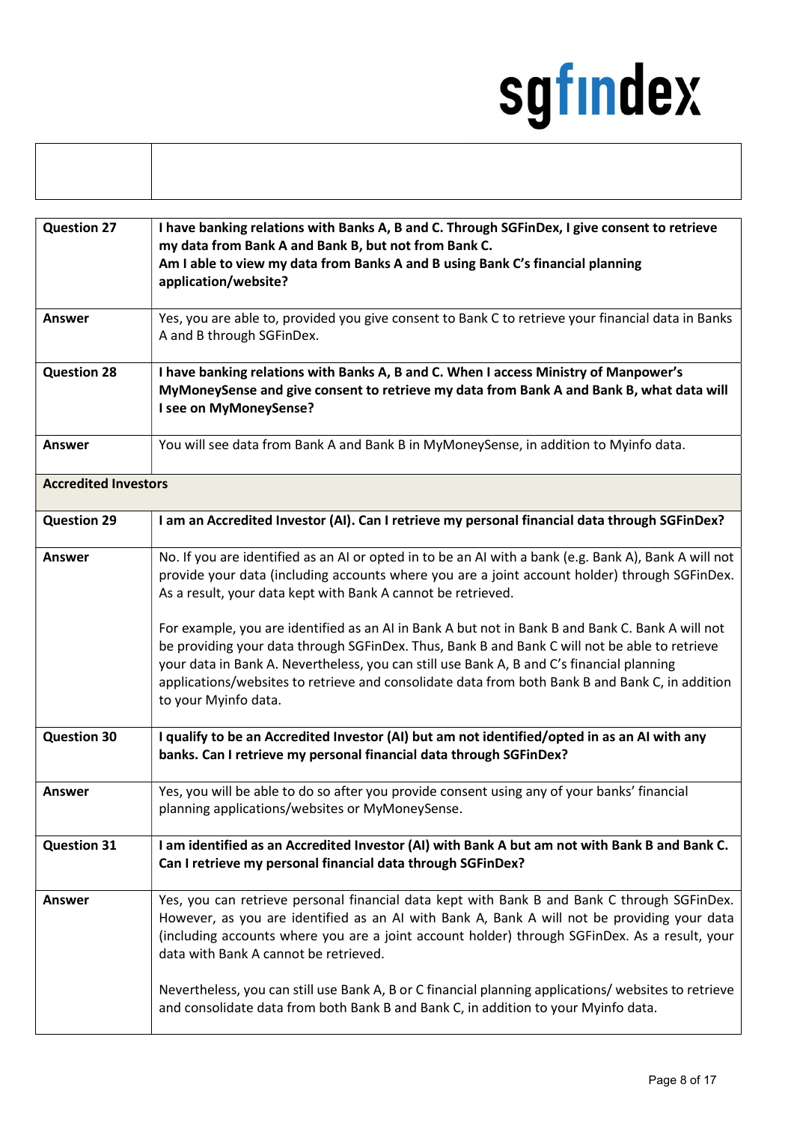| I have banking relations with Banks A, B and C. Through SGFinDex, I give consent to retrieve<br>my data from Bank A and Bank B, but not from Bank C.<br>Am I able to view my data from Banks A and B using Bank C's financial planning                                                                                                                                                                                                                                                                                                                                                                                                                                      |  |
|-----------------------------------------------------------------------------------------------------------------------------------------------------------------------------------------------------------------------------------------------------------------------------------------------------------------------------------------------------------------------------------------------------------------------------------------------------------------------------------------------------------------------------------------------------------------------------------------------------------------------------------------------------------------------------|--|
| Yes, you are able to, provided you give consent to Bank C to retrieve your financial data in Banks                                                                                                                                                                                                                                                                                                                                                                                                                                                                                                                                                                          |  |
| I have banking relations with Banks A, B and C. When I access Ministry of Manpower's<br>MyMoneySense and give consent to retrieve my data from Bank A and Bank B, what data will                                                                                                                                                                                                                                                                                                                                                                                                                                                                                            |  |
| You will see data from Bank A and Bank B in MyMoneySense, in addition to Myinfo data.                                                                                                                                                                                                                                                                                                                                                                                                                                                                                                                                                                                       |  |
| <b>Accredited Investors</b>                                                                                                                                                                                                                                                                                                                                                                                                                                                                                                                                                                                                                                                 |  |
| I am an Accredited Investor (AI). Can I retrieve my personal financial data through SGFinDex?                                                                                                                                                                                                                                                                                                                                                                                                                                                                                                                                                                               |  |
| No. If you are identified as an AI or opted in to be an AI with a bank (e.g. Bank A), Bank A will not<br>provide your data (including accounts where you are a joint account holder) through SGFinDex.<br>As a result, your data kept with Bank A cannot be retrieved.<br>For example, you are identified as an AI in Bank A but not in Bank B and Bank C. Bank A will not<br>be providing your data through SGFinDex. Thus, Bank B and Bank C will not be able to retrieve<br>your data in Bank A. Nevertheless, you can still use Bank A, B and C's financial planning<br>applications/websites to retrieve and consolidate data from both Bank B and Bank C, in addition |  |
| I qualify to be an Accredited Investor (AI) but am not identified/opted in as an AI with any<br>banks. Can I retrieve my personal financial data through SGFinDex?                                                                                                                                                                                                                                                                                                                                                                                                                                                                                                          |  |
| Yes, you will be able to do so after you provide consent using any of your banks' financial<br>planning applications/websites or MyMoneySense.                                                                                                                                                                                                                                                                                                                                                                                                                                                                                                                              |  |
| I am identified as an Accredited Investor (AI) with Bank A but am not with Bank B and Bank C.<br>Can I retrieve my personal financial data through SGFinDex?                                                                                                                                                                                                                                                                                                                                                                                                                                                                                                                |  |
| Yes, you can retrieve personal financial data kept with Bank B and Bank C through SGFinDex.<br>However, as you are identified as an AI with Bank A, Bank A will not be providing your data<br>(including accounts where you are a joint account holder) through SGFinDex. As a result, your<br>data with Bank A cannot be retrieved.<br>Nevertheless, you can still use Bank A, B or C financial planning applications/ websites to retrieve<br>and consolidate data from both Bank B and Bank C, in addition to your Myinfo data.                                                                                                                                          |  |
|                                                                                                                                                                                                                                                                                                                                                                                                                                                                                                                                                                                                                                                                             |  |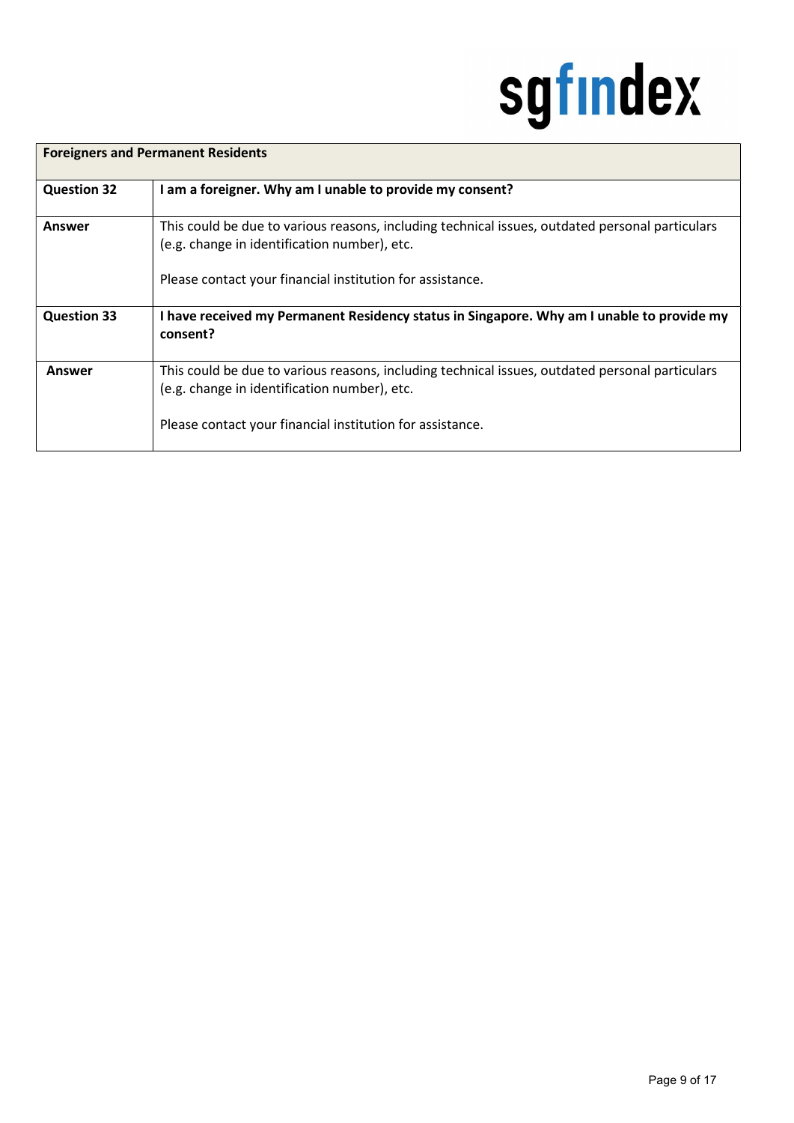| <b>Foreigners and Permanent Residents</b> |                                                                                                                                                                                                              |
|-------------------------------------------|--------------------------------------------------------------------------------------------------------------------------------------------------------------------------------------------------------------|
| <b>Question 32</b>                        | I am a foreigner. Why am I unable to provide my consent?                                                                                                                                                     |
| Answer                                    | This could be due to various reasons, including technical issues, outdated personal particulars<br>(e.g. change in identification number), etc.<br>Please contact your financial institution for assistance. |
| <b>Question 33</b>                        | I have received my Permanent Residency status in Singapore. Why am I unable to provide my<br>consent?                                                                                                        |
| Answer                                    | This could be due to various reasons, including technical issues, outdated personal particulars<br>(e.g. change in identification number), etc.<br>Please contact your financial institution for assistance. |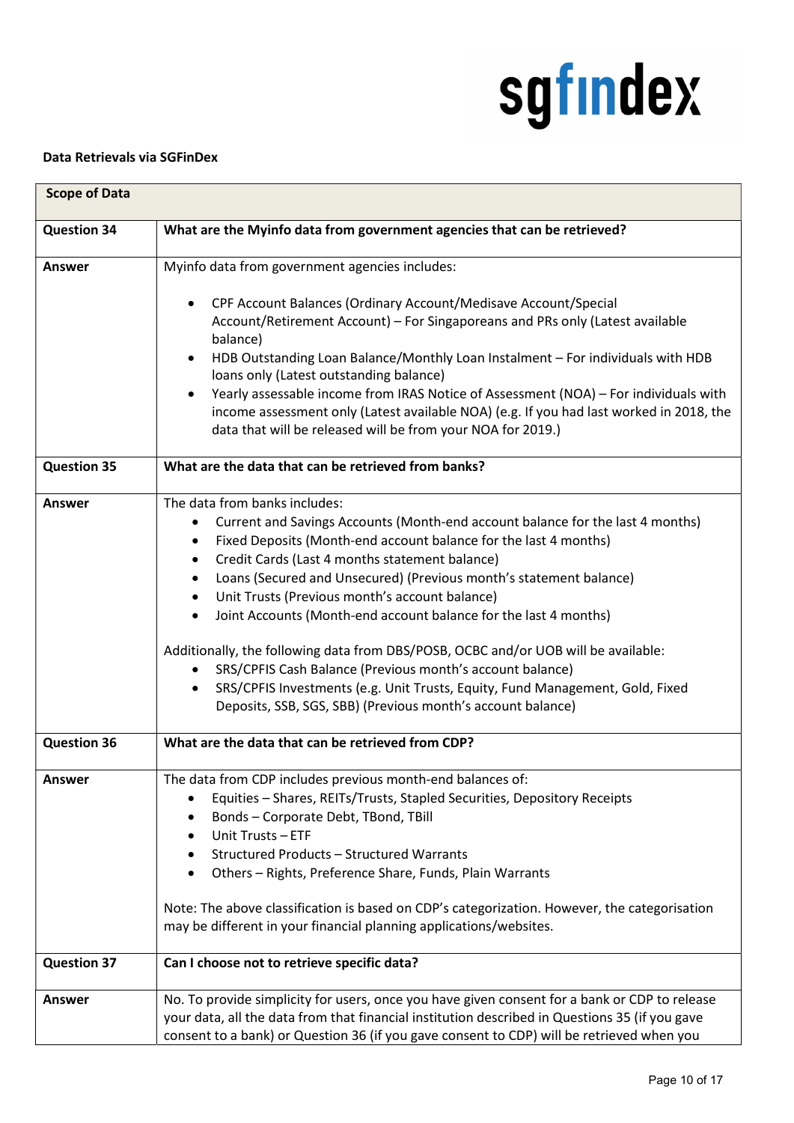#### Data Retrievals via SGFinDex

| <b>Scope of Data</b> |                                                                                                                                                                                                                                                                                                                                                                                                                                                                                                                                                                                                                                                                                                                                                                                               |  |
|----------------------|-----------------------------------------------------------------------------------------------------------------------------------------------------------------------------------------------------------------------------------------------------------------------------------------------------------------------------------------------------------------------------------------------------------------------------------------------------------------------------------------------------------------------------------------------------------------------------------------------------------------------------------------------------------------------------------------------------------------------------------------------------------------------------------------------|--|
| <b>Question 34</b>   | What are the Myinfo data from government agencies that can be retrieved?                                                                                                                                                                                                                                                                                                                                                                                                                                                                                                                                                                                                                                                                                                                      |  |
| <b>Answer</b>        | Myinfo data from government agencies includes:                                                                                                                                                                                                                                                                                                                                                                                                                                                                                                                                                                                                                                                                                                                                                |  |
|                      | CPF Account Balances (Ordinary Account/Medisave Account/Special<br>Account/Retirement Account) - For Singaporeans and PRs only (Latest available<br>balance)<br>HDB Outstanding Loan Balance/Monthly Loan Instalment - For individuals with HDB<br>$\bullet$<br>loans only (Latest outstanding balance)<br>Yearly assessable income from IRAS Notice of Assessment (NOA) - For individuals with<br>income assessment only (Latest available NOA) (e.g. If you had last worked in 2018, the<br>data that will be released will be from your NOA for 2019.)                                                                                                                                                                                                                                     |  |
| <b>Question 35</b>   | What are the data that can be retrieved from banks?                                                                                                                                                                                                                                                                                                                                                                                                                                                                                                                                                                                                                                                                                                                                           |  |
| <b>Answer</b>        | The data from banks includes:<br>Current and Savings Accounts (Month-end account balance for the last 4 months)<br>Fixed Deposits (Month-end account balance for the last 4 months)<br>٠<br>Credit Cards (Last 4 months statement balance)<br>$\bullet$<br>Loans (Secured and Unsecured) (Previous month's statement balance)<br>$\bullet$<br>Unit Trusts (Previous month's account balance)<br>$\bullet$<br>Joint Accounts (Month-end account balance for the last 4 months)<br>Additionally, the following data from DBS/POSB, OCBC and/or UOB will be available:<br>SRS/CPFIS Cash Balance (Previous month's account balance)<br>SRS/CPFIS Investments (e.g. Unit Trusts, Equity, Fund Management, Gold, Fixed<br>$\bullet$<br>Deposits, SSB, SGS, SBB) (Previous month's account balance) |  |
| <b>Question 36</b>   | What are the data that can be retrieved from CDP?                                                                                                                                                                                                                                                                                                                                                                                                                                                                                                                                                                                                                                                                                                                                             |  |
| Answer               | The data from CDP includes previous month-end balances of:<br>Equities - Shares, REITs/Trusts, Stapled Securities, Depository Receipts<br>Bonds - Corporate Debt, TBond, TBill<br>Unit Trusts - ETF<br><b>Structured Products - Structured Warrants</b><br>Others - Rights, Preference Share, Funds, Plain Warrants<br>Note: The above classification is based on CDP's categorization. However, the categorisation<br>may be different in your financial planning applications/websites.                                                                                                                                                                                                                                                                                                     |  |
| <b>Question 37</b>   | Can I choose not to retrieve specific data?                                                                                                                                                                                                                                                                                                                                                                                                                                                                                                                                                                                                                                                                                                                                                   |  |
| <b>Answer</b>        | No. To provide simplicity for users, once you have given consent for a bank or CDP to release<br>your data, all the data from that financial institution described in Questions 35 (if you gave<br>consent to a bank) or Question 36 (if you gave consent to CDP) will be retrieved when you                                                                                                                                                                                                                                                                                                                                                                                                                                                                                                  |  |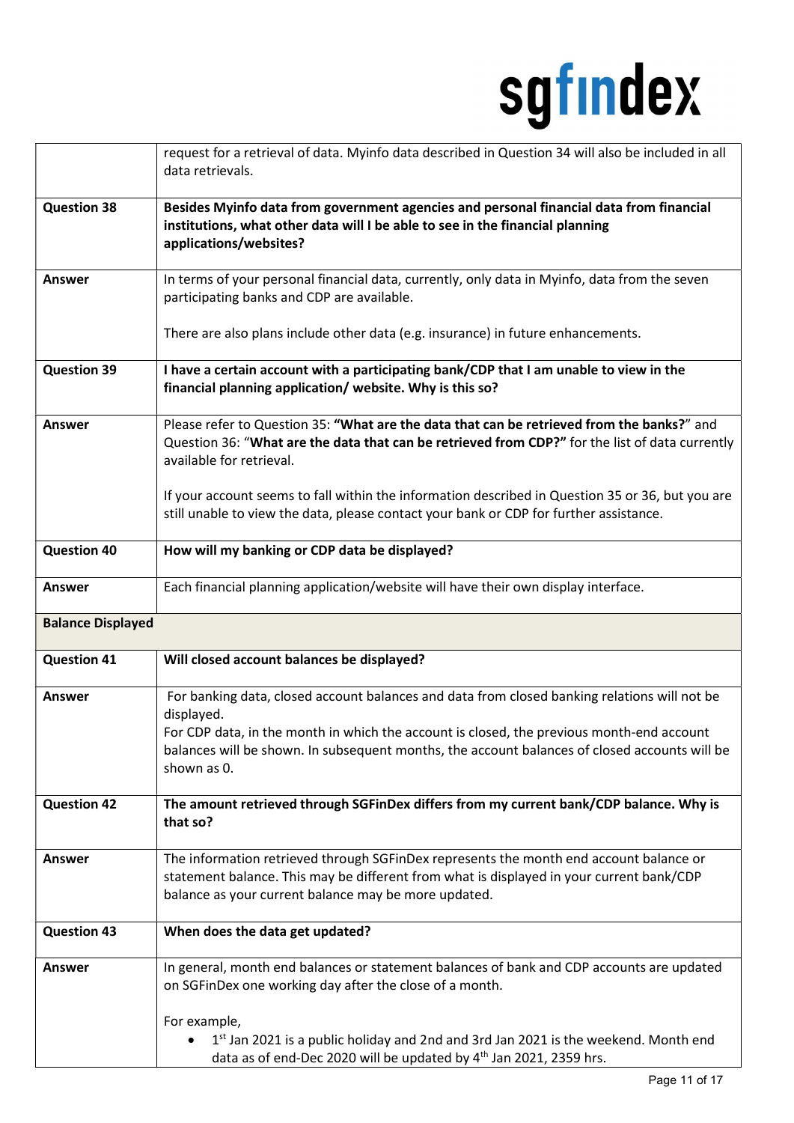|                          | request for a retrieval of data. Myinfo data described in Question 34 will also be included in all<br>data retrievals.                                                                                                                                                                                                        |
|--------------------------|-------------------------------------------------------------------------------------------------------------------------------------------------------------------------------------------------------------------------------------------------------------------------------------------------------------------------------|
| <b>Question 38</b>       | Besides Myinfo data from government agencies and personal financial data from financial<br>institutions, what other data will I be able to see in the financial planning<br>applications/websites?                                                                                                                            |
| Answer                   | In terms of your personal financial data, currently, only data in Myinfo, data from the seven<br>participating banks and CDP are available.                                                                                                                                                                                   |
|                          | There are also plans include other data (e.g. insurance) in future enhancements.                                                                                                                                                                                                                                              |
| <b>Question 39</b>       | I have a certain account with a participating bank/CDP that I am unable to view in the<br>financial planning application/ website. Why is this so?                                                                                                                                                                            |
| <b>Answer</b>            | Please refer to Question 35: "What are the data that can be retrieved from the banks?" and<br>Question 36: "What are the data that can be retrieved from CDP?" for the list of data currently<br>available for retrieval.<br>If your account seems to fall within the information described in Question 35 or 36, but you are |
|                          | still unable to view the data, please contact your bank or CDP for further assistance.                                                                                                                                                                                                                                        |
| <b>Question 40</b>       | How will my banking or CDP data be displayed?                                                                                                                                                                                                                                                                                 |
| Answer                   | Each financial planning application/website will have their own display interface.                                                                                                                                                                                                                                            |
| <b>Balance Displayed</b> |                                                                                                                                                                                                                                                                                                                               |
| <b>Question 41</b>       | Will closed account balances be displayed?                                                                                                                                                                                                                                                                                    |
| <b>Answer</b>            | For banking data, closed account balances and data from closed banking relations will not be<br>displayed.<br>For CDP data, in the month in which the account is closed, the previous month-end account<br>balances will be shown. In subsequent months, the account balances of closed accounts will be<br>shown as 0.       |
| <b>Question 42</b>       | The amount retrieved through SGFinDex differs from my current bank/CDP balance. Why is<br>that so?                                                                                                                                                                                                                            |
| <b>Answer</b>            | The information retrieved through SGFinDex represents the month end account balance or<br>statement balance. This may be different from what is displayed in your current bank/CDP<br>balance as your current balance may be more updated.                                                                                    |
| <b>Question 43</b>       | When does the data get updated?                                                                                                                                                                                                                                                                                               |
| <b>Answer</b>            | In general, month end balances or statement balances of bank and CDP accounts are updated<br>on SGFinDex one working day after the close of a month.                                                                                                                                                                          |
|                          | For example,<br>1st Jan 2021 is a public holiday and 2nd and 3rd Jan 2021 is the weekend. Month end<br>$\bullet$<br>data as of end-Dec 2020 will be updated by 4 <sup>th</sup> Jan 2021, 2359 hrs.                                                                                                                            |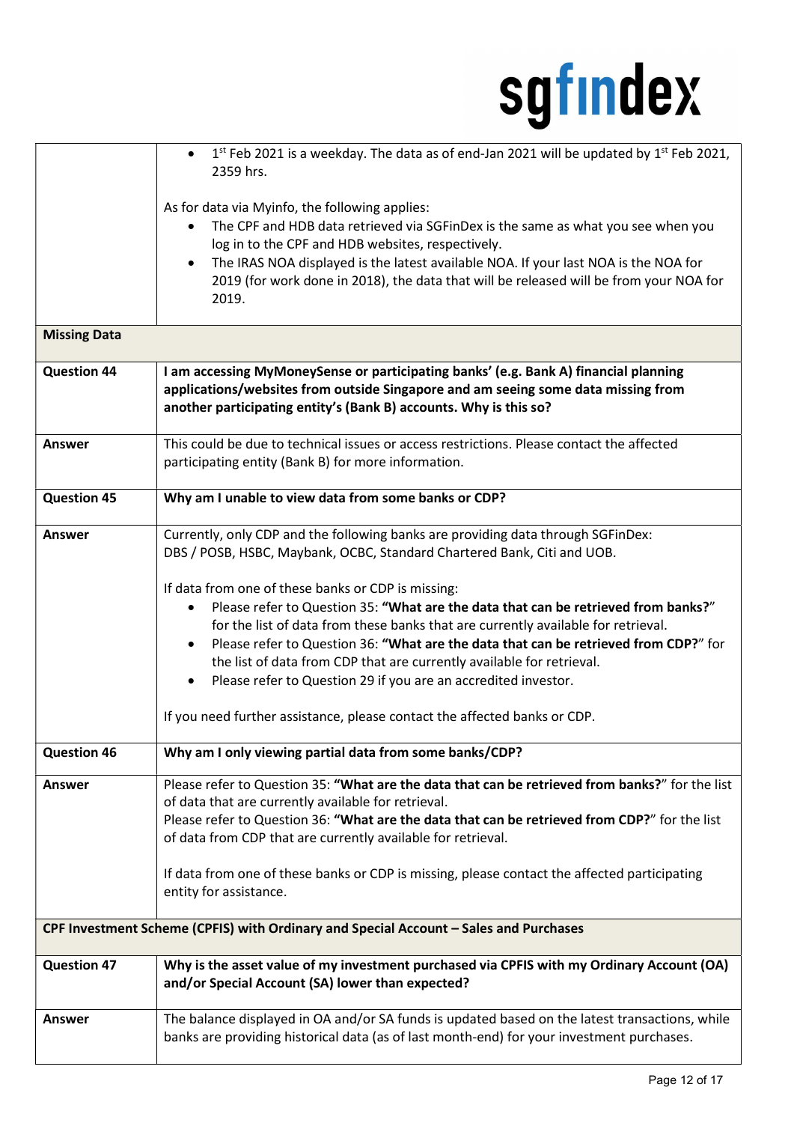|                     | $1st$ Feb 2021 is a weekday. The data as of end-Jan 2021 will be updated by $1st$ Feb 2021,<br>$\bullet$<br>2359 hrs.                                                                                                                                                                                                                                                                                                                                                                                                                                                                                                                                                                                                                  |
|---------------------|----------------------------------------------------------------------------------------------------------------------------------------------------------------------------------------------------------------------------------------------------------------------------------------------------------------------------------------------------------------------------------------------------------------------------------------------------------------------------------------------------------------------------------------------------------------------------------------------------------------------------------------------------------------------------------------------------------------------------------------|
|                     | As for data via Myinfo, the following applies:<br>The CPF and HDB data retrieved via SGFinDex is the same as what you see when you<br>$\bullet$<br>log in to the CPF and HDB websites, respectively.<br>The IRAS NOA displayed is the latest available NOA. If your last NOA is the NOA for<br>$\bullet$<br>2019 (for work done in 2018), the data that will be released will be from your NOA for<br>2019.                                                                                                                                                                                                                                                                                                                            |
| <b>Missing Data</b> |                                                                                                                                                                                                                                                                                                                                                                                                                                                                                                                                                                                                                                                                                                                                        |
| <b>Question 44</b>  | I am accessing MyMoneySense or participating banks' (e.g. Bank A) financial planning<br>applications/websites from outside Singapore and am seeing some data missing from<br>another participating entity's (Bank B) accounts. Why is this so?                                                                                                                                                                                                                                                                                                                                                                                                                                                                                         |
| <b>Answer</b>       | This could be due to technical issues or access restrictions. Please contact the affected<br>participating entity (Bank B) for more information.                                                                                                                                                                                                                                                                                                                                                                                                                                                                                                                                                                                       |
| <b>Question 45</b>  | Why am I unable to view data from some banks or CDP?                                                                                                                                                                                                                                                                                                                                                                                                                                                                                                                                                                                                                                                                                   |
| <b>Answer</b>       | Currently, only CDP and the following banks are providing data through SGFinDex:<br>DBS / POSB, HSBC, Maybank, OCBC, Standard Chartered Bank, Citi and UOB.<br>If data from one of these banks or CDP is missing:<br>Please refer to Question 35: "What are the data that can be retrieved from banks?"<br>$\bullet$<br>for the list of data from these banks that are currently available for retrieval.<br>Please refer to Question 36: "What are the data that can be retrieved from CDP?" for<br>the list of data from CDP that are currently available for retrieval.<br>Please refer to Question 29 if you are an accredited investor.<br>$\bullet$<br>If you need further assistance, please contact the affected banks or CDP. |
| <b>Question 46</b>  | Why am I only viewing partial data from some banks/CDP?                                                                                                                                                                                                                                                                                                                                                                                                                                                                                                                                                                                                                                                                                |
| <b>Answer</b>       | Please refer to Question 35: "What are the data that can be retrieved from banks?" for the list<br>of data that are currently available for retrieval.<br>Please refer to Question 36: "What are the data that can be retrieved from CDP?" for the list<br>of data from CDP that are currently available for retrieval.<br>If data from one of these banks or CDP is missing, please contact the affected participating<br>entity for assistance.                                                                                                                                                                                                                                                                                      |
|                     | CPF Investment Scheme (CPFIS) with Ordinary and Special Account - Sales and Purchases                                                                                                                                                                                                                                                                                                                                                                                                                                                                                                                                                                                                                                                  |
| <b>Question 47</b>  | Why is the asset value of my investment purchased via CPFIS with my Ordinary Account (OA)<br>and/or Special Account (SA) lower than expected?                                                                                                                                                                                                                                                                                                                                                                                                                                                                                                                                                                                          |
| <b>Answer</b>       | The balance displayed in OA and/or SA funds is updated based on the latest transactions, while<br>banks are providing historical data (as of last month-end) for your investment purchases.                                                                                                                                                                                                                                                                                                                                                                                                                                                                                                                                            |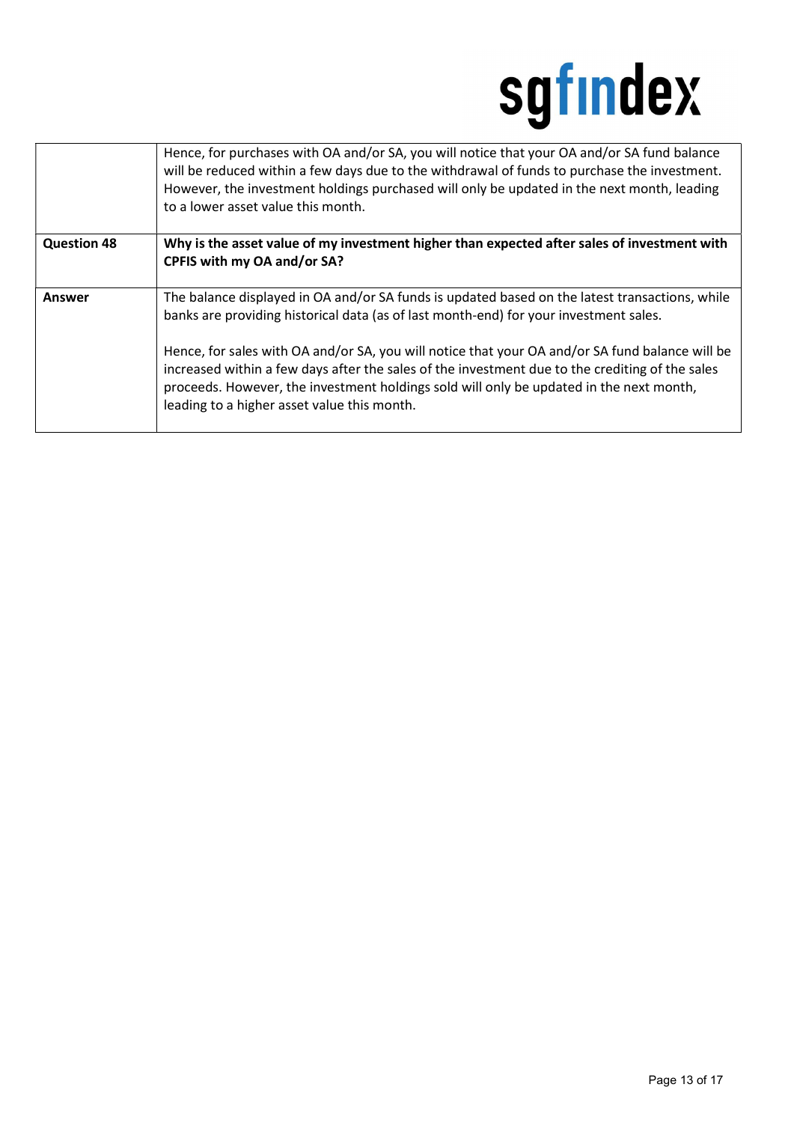|                    | Hence, for purchases with OA and/or SA, you will notice that your OA and/or SA fund balance<br>will be reduced within a few days due to the withdrawal of funds to purchase the investment.<br>However, the investment holdings purchased will only be updated in the next month, leading<br>to a lower asset value this month.              |
|--------------------|----------------------------------------------------------------------------------------------------------------------------------------------------------------------------------------------------------------------------------------------------------------------------------------------------------------------------------------------|
| <b>Question 48</b> | Why is the asset value of my investment higher than expected after sales of investment with<br>CPFIS with my OA and/or SA?                                                                                                                                                                                                                   |
| Answer             | The balance displayed in OA and/or SA funds is updated based on the latest transactions, while<br>banks are providing historical data (as of last month-end) for your investment sales.                                                                                                                                                      |
|                    | Hence, for sales with OA and/or SA, you will notice that your OA and/or SA fund balance will be<br>increased within a few days after the sales of the investment due to the crediting of the sales<br>proceeds. However, the investment holdings sold will only be updated in the next month,<br>leading to a higher asset value this month. |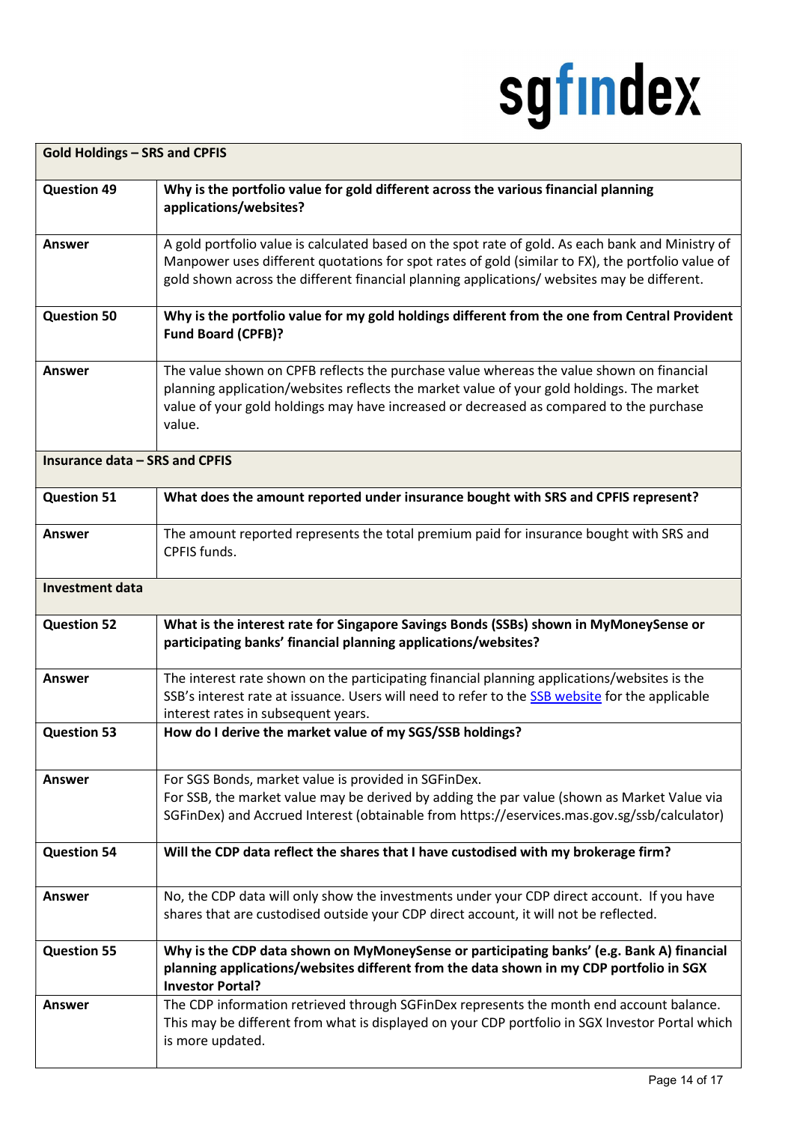| <b>Gold Holdings - SRS and CPFIS</b>  |                                                                                                                                                                                                                                                                                                       |  |
|---------------------------------------|-------------------------------------------------------------------------------------------------------------------------------------------------------------------------------------------------------------------------------------------------------------------------------------------------------|--|
| <b>Question 49</b>                    | Why is the portfolio value for gold different across the various financial planning<br>applications/websites?                                                                                                                                                                                         |  |
| <b>Answer</b>                         | A gold portfolio value is calculated based on the spot rate of gold. As each bank and Ministry of<br>Manpower uses different quotations for spot rates of gold (similar to FX), the portfolio value of<br>gold shown across the different financial planning applications/ websites may be different. |  |
| <b>Question 50</b>                    | Why is the portfolio value for my gold holdings different from the one from Central Provident<br><b>Fund Board (CPFB)?</b>                                                                                                                                                                            |  |
| <b>Answer</b>                         | The value shown on CPFB reflects the purchase value whereas the value shown on financial<br>planning application/websites reflects the market value of your gold holdings. The market<br>value of your gold holdings may have increased or decreased as compared to the purchase<br>value.            |  |
| <b>Insurance data - SRS and CPFIS</b> |                                                                                                                                                                                                                                                                                                       |  |
| <b>Question 51</b>                    | What does the amount reported under insurance bought with SRS and CPFIS represent?                                                                                                                                                                                                                    |  |
| <b>Answer</b>                         | The amount reported represents the total premium paid for insurance bought with SRS and<br>CPFIS funds.                                                                                                                                                                                               |  |
| <b>Investment data</b>                |                                                                                                                                                                                                                                                                                                       |  |
| <b>Question 52</b>                    | What is the interest rate for Singapore Savings Bonds (SSBs) shown in MyMoneySense or<br>participating banks' financial planning applications/websites?                                                                                                                                               |  |
| <b>Answer</b>                         | The interest rate shown on the participating financial planning applications/websites is the<br>SSB's interest rate at issuance. Users will need to refer to the SSB website for the applicable<br>interest rates in subsequent years.                                                                |  |
| <b>Question 53</b>                    | How do I derive the market value of my SGS/SSB holdings?                                                                                                                                                                                                                                              |  |
| Answer                                | For SGS Bonds, market value is provided in SGFinDex.<br>For SSB, the market value may be derived by adding the par value (shown as Market Value via<br>SGFinDex) and Accrued Interest (obtainable from https://eservices.mas.gov.sg/ssb/calculator)                                                   |  |
| <b>Question 54</b>                    | Will the CDP data reflect the shares that I have custodised with my brokerage firm?                                                                                                                                                                                                                   |  |
| <b>Answer</b>                         | No, the CDP data will only show the investments under your CDP direct account. If you have<br>shares that are custodised outside your CDP direct account, it will not be reflected.                                                                                                                   |  |
| <b>Question 55</b>                    | Why is the CDP data shown on MyMoneySense or participating banks' (e.g. Bank A) financial<br>planning applications/websites different from the data shown in my CDP portfolio in SGX<br><b>Investor Portal?</b>                                                                                       |  |
| <b>Answer</b>                         | The CDP information retrieved through SGFinDex represents the month end account balance.<br>This may be different from what is displayed on your CDP portfolio in SGX Investor Portal which<br>is more updated.                                                                                       |  |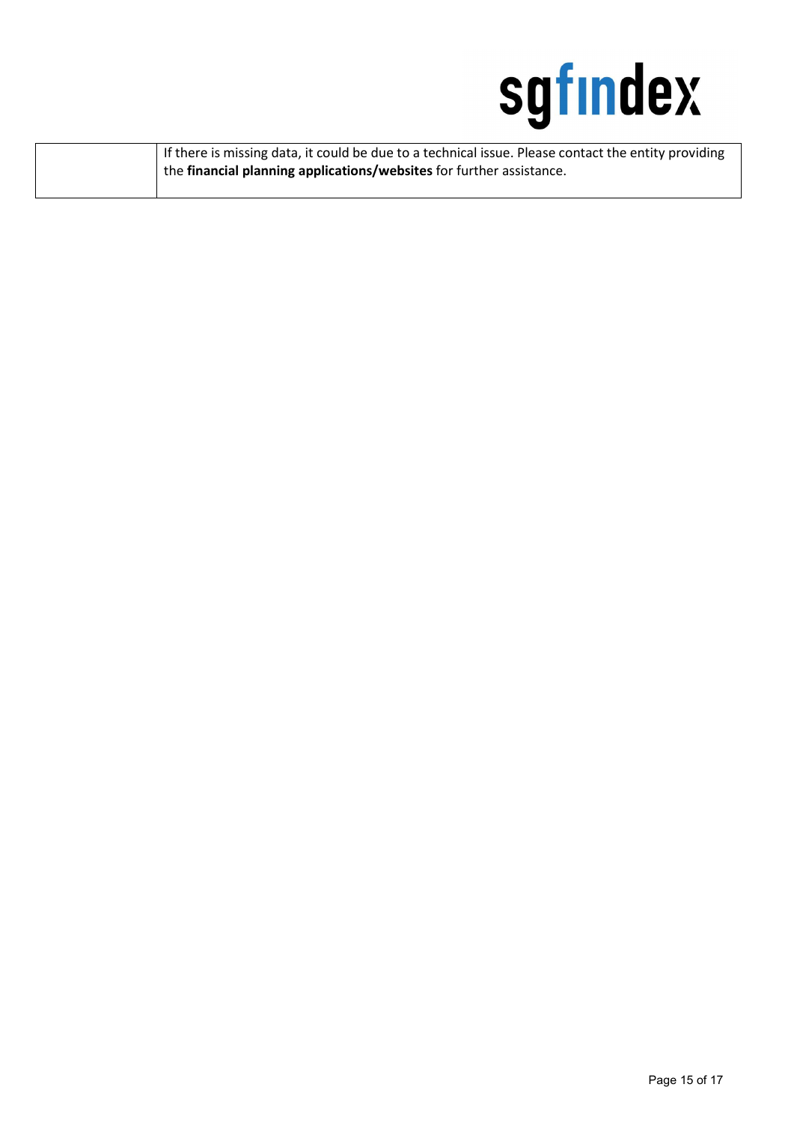

| If there is missing data, it could be due to a technical issue. Please contact the entity providing |
|-----------------------------------------------------------------------------------------------------|
| <sup>1</sup> the financial planning applications/websites for further assistance.                   |
|                                                                                                     |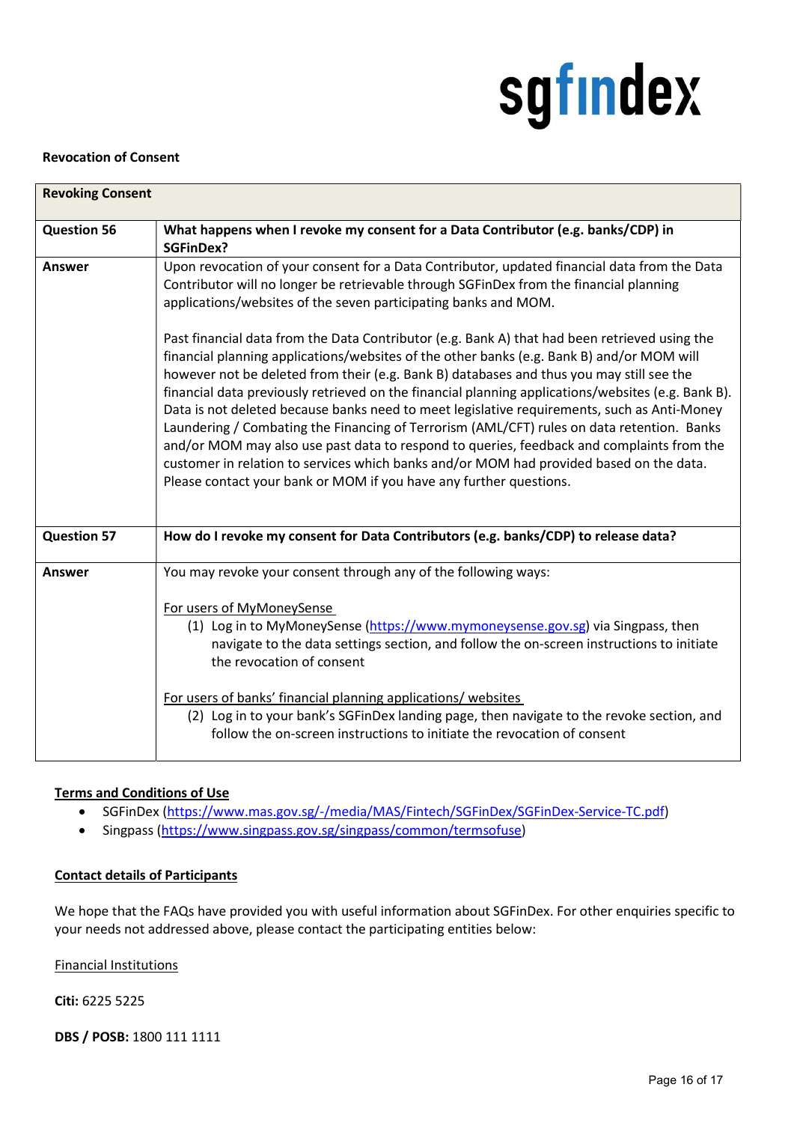#### Revocation of Consent

| <b>Revoking Consent</b> |                                                                                                                                                                                                                                                                                                                                                                                                                                                                                                                                                                                                                                                                                                                                                                                                                                                         |  |
|-------------------------|---------------------------------------------------------------------------------------------------------------------------------------------------------------------------------------------------------------------------------------------------------------------------------------------------------------------------------------------------------------------------------------------------------------------------------------------------------------------------------------------------------------------------------------------------------------------------------------------------------------------------------------------------------------------------------------------------------------------------------------------------------------------------------------------------------------------------------------------------------|--|
| <b>Question 56</b>      | What happens when I revoke my consent for a Data Contributor (e.g. banks/CDP) in<br><b>SGFinDex?</b>                                                                                                                                                                                                                                                                                                                                                                                                                                                                                                                                                                                                                                                                                                                                                    |  |
| Answer                  | Upon revocation of your consent for a Data Contributor, updated financial data from the Data<br>Contributor will no longer be retrievable through SGFinDex from the financial planning<br>applications/websites of the seven participating banks and MOM.                                                                                                                                                                                                                                                                                                                                                                                                                                                                                                                                                                                               |  |
|                         | Past financial data from the Data Contributor (e.g. Bank A) that had been retrieved using the<br>financial planning applications/websites of the other banks (e.g. Bank B) and/or MOM will<br>however not be deleted from their (e.g. Bank B) databases and thus you may still see the<br>financial data previously retrieved on the financial planning applications/websites (e.g. Bank B).<br>Data is not deleted because banks need to meet legislative requirements, such as Anti-Money<br>Laundering / Combating the Financing of Terrorism (AML/CFT) rules on data retention. Banks<br>and/or MOM may also use past data to respond to queries, feedback and complaints from the<br>customer in relation to services which banks and/or MOM had provided based on the data.<br>Please contact your bank or MOM if you have any further questions. |  |
| <b>Question 57</b>      | How do I revoke my consent for Data Contributors (e.g. banks/CDP) to release data?                                                                                                                                                                                                                                                                                                                                                                                                                                                                                                                                                                                                                                                                                                                                                                      |  |
| Answer                  | You may revoke your consent through any of the following ways:                                                                                                                                                                                                                                                                                                                                                                                                                                                                                                                                                                                                                                                                                                                                                                                          |  |
|                         | For users of MyMoneySense<br>(1) Log in to MyMoneySense (https://www.mymoneysense.gov.sg) via Singpass, then<br>navigate to the data settings section, and follow the on-screen instructions to initiate<br>the revocation of consent                                                                                                                                                                                                                                                                                                                                                                                                                                                                                                                                                                                                                   |  |
|                         | For users of banks' financial planning applications/ websites<br>(2) Log in to your bank's SGFinDex landing page, then navigate to the revoke section, and<br>follow the on-screen instructions to initiate the revocation of consent                                                                                                                                                                                                                                                                                                                                                                                                                                                                                                                                                                                                                   |  |

#### Terms and Conditions of Use

- SGFinDex (https://www.mas.gov.sg/-/media/MAS/Fintech/SGFinDex/SGFinDex-Service-TC.pdf)
- Singpass (https://www.singpass.gov.sg/singpass/common/termsofuse)

#### Contact details of Participants

We hope that the FAQs have provided you with useful information about SGFinDex. For other enquiries specific to your needs not addressed above, please contact the participating entities below:

Financial Institutions

#### Citi: 6225 5225

DBS / POSB: 1800 111 1111